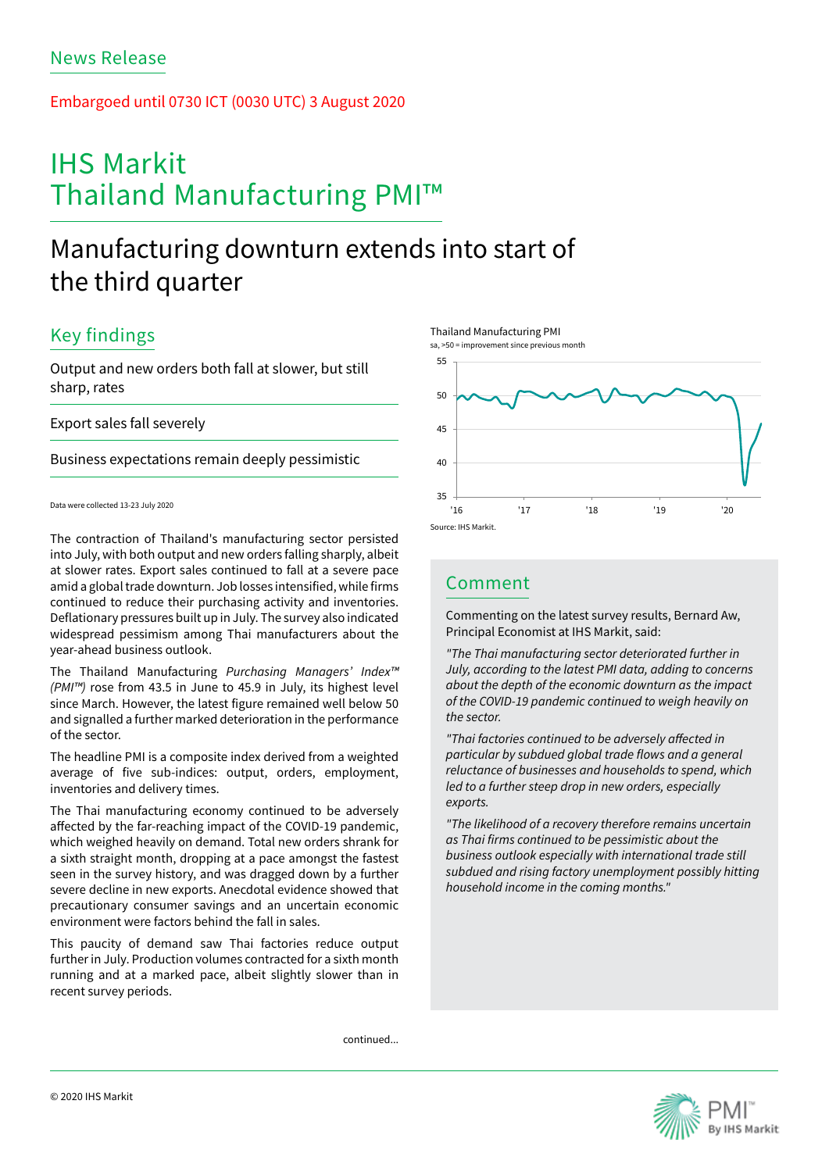### Embargoed until 0730 ICT (0030 UTC) 3 August 2020

# IHS Markit Thailand Manufacturing PMI™

# Manufacturing downturn extends into start of the third quarter

## Key findings

Output and new orders both fall at slower, but still sharp, rates

Export sales fall severely

Business expectations remain deeply pessimistic

Data were collected 13-23 July 2020

The contraction of Thailand's manufacturing sector persisted into July, with both output and new orders falling sharply, albeit at slower rates. Export sales continued to fall at a severe pace amid a global trade downturn. Job losses intensified, while firms continued to reduce their purchasing activity and inventories. Deflationary pressures built up in July. The survey also indicated widespread pessimism among Thai manufacturers about the year-ahead business outlook.

The Thailand Manufacturing *Purchasing Managers' Index™ (PMI™)* rose from 43.5 in June to 45.9 in July, its highest level since March. However, the latest figure remained well below 50 and signalled a further marked deterioration in the performance of the sector.

The headline PMI is a composite index derived from a weighted average of five sub-indices: output, orders, employment, inventories and delivery times.

The Thai manufacturing economy continued to be adversely affected by the far-reaching impact of the COVID-19 pandemic, which weighed heavily on demand. Total new orders shrank for a sixth straight month, dropping at a pace amongst the fastest seen in the survey history, and was dragged down by a further severe decline in new exports. Anecdotal evidence showed that precautionary consumer savings and an uncertain economic environment were factors behind the fall in sales.

This paucity of demand saw Thai factories reduce output further in July. Production volumes contracted for a sixth month running and at a marked pace, albeit slightly slower than in recent survey periods.

Thailand Manufacturing PMI





### Comment

Commenting on the latest survey results, Bernard Aw, Principal Economist at IHS Markit, said:

*"The Thai manufacturing sector deteriorated further in July, according to the latest PMI data, adding to concerns about the depth of the economic downturn as the impact of the COVID-19 pandemic continued to weigh heavily on the sector.*

*"Thai factories continued to be adversely affected in particular by subdued global trade flows and a general reluctance of businesses and households to spend, which led to a further steep drop in new orders, especially exports.* 

*"The likelihood of a recovery therefore remains uncertain as Thai firms continued to be pessimistic about the business outlook especially with international trade still subdued and rising factory unemployment possibly hitting household income in the coming months."*

continued...